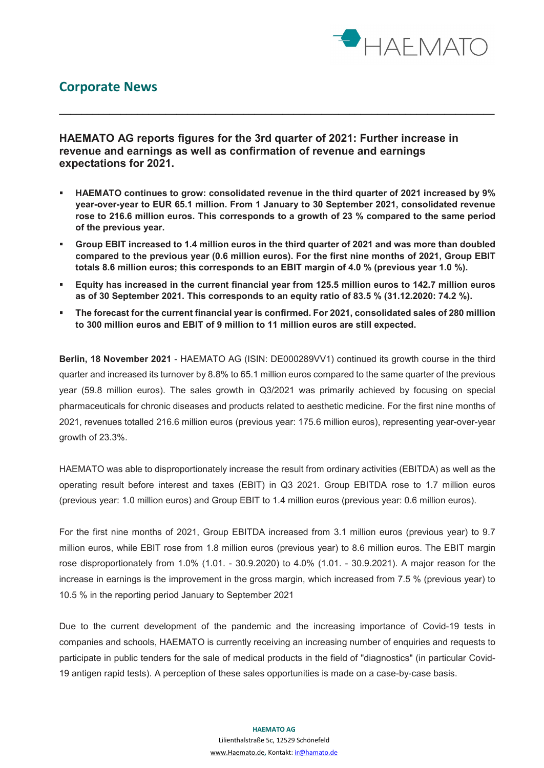

## **Corporate News**

**HAEMATO AG reports figures for the 3rd quarter of 2021: Further increase in revenue and earnings as well as confirmation of revenue and earnings expectations for 2021.**

 **HAEMATO continues to grow: consolidated revenue in the third quarter of 2021 increased by 9% year-over-year to EUR 65.1 million. From 1 January to 30 September 2021, consolidated revenue rose to 216.6 million euros. This corresponds to a growth of 23 % compared to the same period of the previous year.**

\_\_\_\_\_\_\_\_\_\_\_\_\_\_\_\_\_\_\_\_\_\_\_\_\_\_\_\_\_\_\_\_\_\_\_\_\_\_\_\_\_\_\_\_\_\_\_\_\_\_\_\_\_\_\_\_\_\_\_\_\_\_\_\_\_\_\_\_\_\_\_\_\_\_\_\_\_\_

- **Group EBIT increased to 1.4 million euros in the third quarter of 2021 and was more than doubled compared to the previous year (0.6 million euros). For the first nine months of 2021, Group EBIT totals 8.6 million euros; this corresponds to an EBIT margin of 4.0 % (previous year 1.0 %).**
- **Equity has increased in the current financial year from 125.5 million euros to 142.7 million euros as of 30 September 2021. This corresponds to an equity ratio of 83.5 % (31.12.2020: 74.2 %).**
- **The forecast for the current financial year is confirmed. For 2021, consolidated sales of 280 million to 300 million euros and EBIT of 9 million to 11 million euros are still expected.**

**Berlin, 18 November 2021** - HAEMATO AG (ISIN: DE000289VV1) continued its growth course in the third quarter and increased its turnover by 8.8% to 65.1 million euros compared to the same quarter of the previous year (59.8 million euros). The sales growth in Q3/2021 was primarily achieved by focusing on special pharmaceuticals for chronic diseases and products related to aesthetic medicine. For the first nine months of 2021, revenues totalled 216.6 million euros (previous year: 175.6 million euros), representing year-over-year growth of 23.3%.

HAEMATO was able to disproportionately increase the result from ordinary activities (EBITDA) as well as the operating result before interest and taxes (EBIT) in Q3 2021. Group EBITDA rose to 1.7 million euros (previous year: 1.0 million euros) and Group EBIT to 1.4 million euros (previous year: 0.6 million euros).

For the first nine months of 2021, Group EBITDA increased from 3.1 million euros (previous year) to 9.7 million euros, while EBIT rose from 1.8 million euros (previous year) to 8.6 million euros. The EBIT margin rose disproportionately from 1.0% (1.01. - 30.9.2020) to 4.0% (1.01. - 30.9.2021). A major reason for the increase in earnings is the improvement in the gross margin, which increased from 7.5 % (previous year) to 10.5 % in the reporting period January to September 2021

Due to the current development of the pandemic and the increasing importance of Covid-19 tests in companies and schools, HAEMATO is currently receiving an increasing number of enquiries and requests to participate in public tenders for the sale of medical products in the field of "diagnostics" (in particular Covid-19 antigen rapid tests). A perception of these sales opportunities is made on a case-by-case basis.